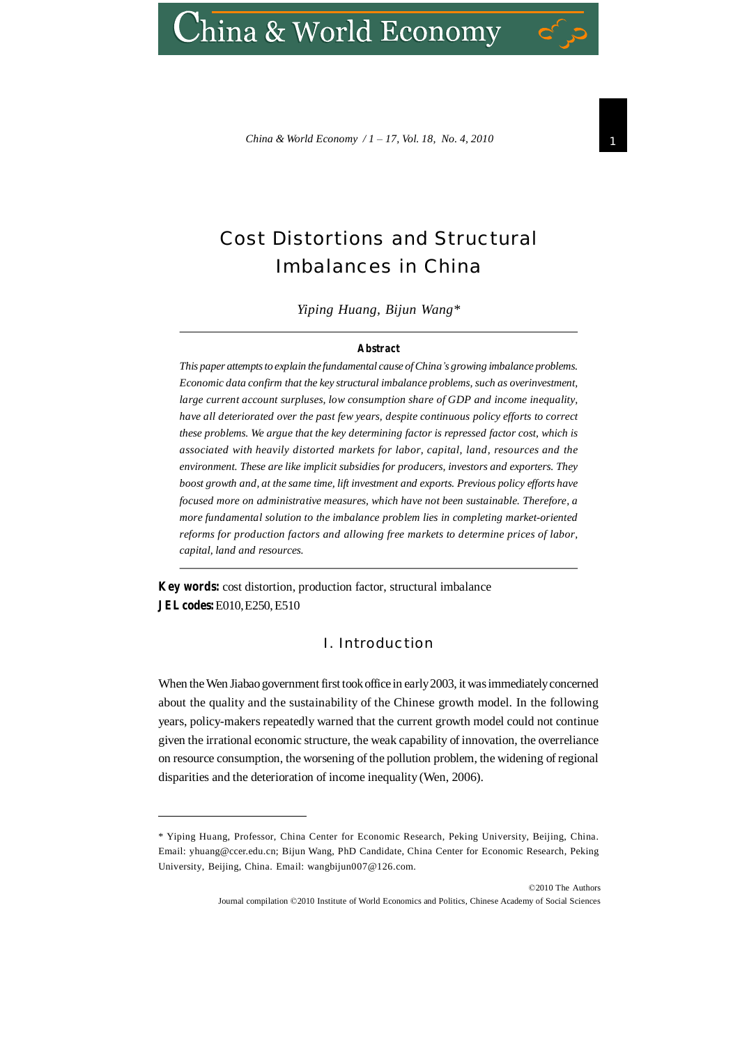# hina & World Economy

*China* & *World Economy / 1 – 17, Vol. 18, No. 4, 2010* 

# Cost Distortions and Structural Imbalances in China

*Yiping Huang, Bijun Wang\**

#### **Abstract**

*This* paper attempts to explain the fundamental cause of China's growing imbalance problems. *Economic data confirm that the key structural imbalance problems, such as overinvestment, large current account surpluses, low consumption share of GDP and income inequality, have all deteriorated over the past few years, despite continuous policy efforts to correct these problems. We argue that the key determining factor is repressed factor cost, which is associated with heavily distorted markets for labor, capital, land, resources and the environment. These are like implicit subsidies for producers, investors and exporters. They boost growth and, at the same time, lift investment and exports. Previous policy efforts have focused more on administrative measures, which have not been sustainable. Therefore, a more fundamental solution to the imbalance problem lies in completing market-oriented reforms for production factors and allowing free markets to determine prices of labor, capital, land and resources.*

**Key words:** cost distortion, production factor, structural imbalance **JELcodes:**E010,E250,E510

## I. Introduction

When the Wen Jiabao government first took office in early 2003, it was immediately concerned about the quality and the sustainability of the Chinese growth model. In the following years, policy-makers repeatedly warned that the current growth model could not continue given the irrational economic structure, the weak capability of innovation, the overreliance on resource consumption, the worsening of the pollution problem, the widening of regional disparities and the deterioration of income inequality (Wen, 2006).

<sup>\*</sup> Yiping Huang, Professor, China Center for Economic Research, Peking University, Beijing, China. Email: [yhuang@ccer.edu.cn](mailto:yhuang@ccer.edu.cn); Bijun Wang, PhD Candidate, China Center for Economic Research, Peking University, Beijing, China. Email: [wangbijun007@126.com.](mailto:wangbijun007@126.com)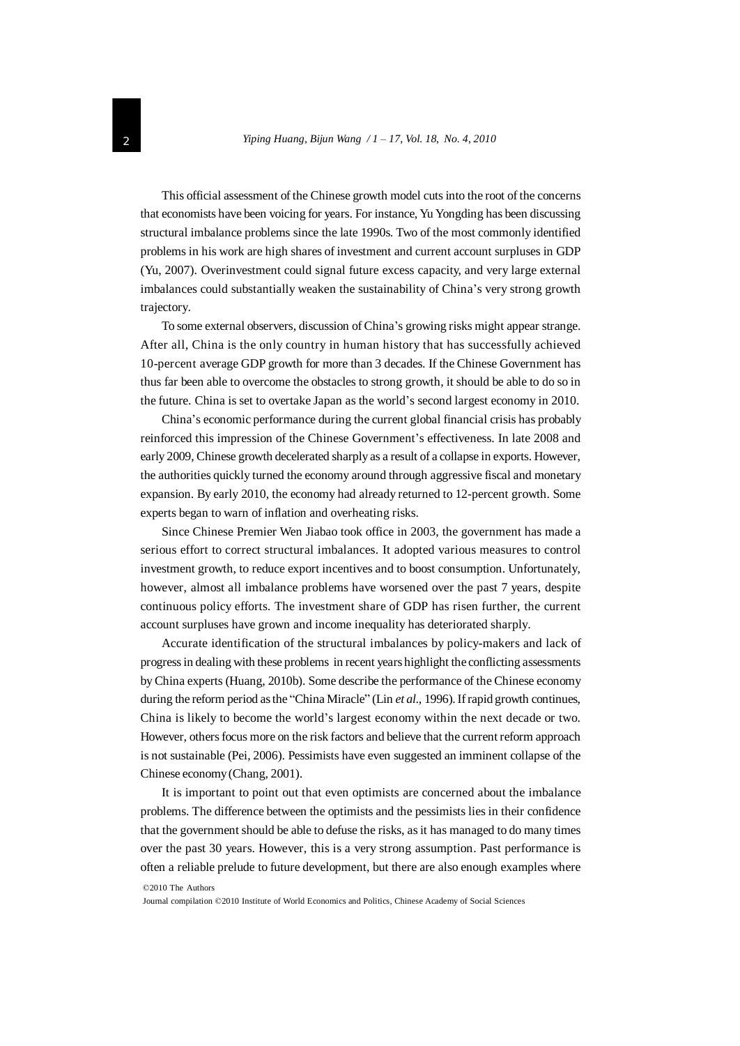This official assessment of the Chinese growth model cutsinto the root of the concerns that economists have been voicing for years. For instance, Yu Yongding has been discussing structural imbalance problems since the late 1990s. Two of the most commonly identified problems in his work are high shares of investment and current account surpluses in GDP (Yu, 2007). Overinvestment could signal future excess capacity, and very large external imbalances could substantially weaken the sustainability of China's very strong growth trajectory.

To some external observers, discussion of China's growing risks might appear strange. After all, China is the only country in human history that has successfully achieved 10-percent average GDP growth for more than 3 decades. If the Chinese Government has thus far been able to overcome the obstacles to strong growth, it should be able to do so in the future. China is set to overtake Japan as the world's second largest economy in 2010.

China's economic performance during the current global financial crisis has probably reinforced this impression of the Chinese Government's effectiveness. In late 2008 and early 2009, Chinese growth decelerated sharply as a result of a collapse in exports. However, the authorities quickly turned the economy around through aggressive fiscal and monetary expansion. By early 2010, the economy had already returned to 12-percent growth. Some experts began to warn of inflation and overheating risks.

Since Chinese Premier Wen Jiabao took office in 2003, the government has made a serious effort to correct structural imbalances. It adopted various measures to control investment growth, to reduce export incentives and to boost consumption. Unfortunately, however, almost all imbalance problems have worsened over the past 7 years, despite continuous policy efforts. The investment share of GDP has risen further, the current account surpluses have grown and income inequality has deteriorated sharply.

Accurate identification of the structural imbalances by policy-makers and lack of progressin dealing with these problems in recent years highlight the conflicting assessments byChina experts (Huang, 2010b). Some describe the performance of the Chinese economy during the reform period as the "China Miracle" (Lin *et al.*, 1996). If rapid growth continues, China is likely to become the world's largest economy within the next decade or two. However, othersfocus more on the risk factors and believe that the current reform approach is not sustainable (Pei, 2006). Pessimists have even suggested an imminent collapse of the Chinese economy(Chang, 2001).

It is important to point out that even optimists are concerned about the imbalance problems. The difference between the optimists and the pessimists lies in their confidence that the government should be able to defuse the risks, asit has managed to do many times over the past 30 years. However, this is a very strong assumption. Past performance is often a reliable prelude to future development, but there are also enough examples where

©2010 The Authors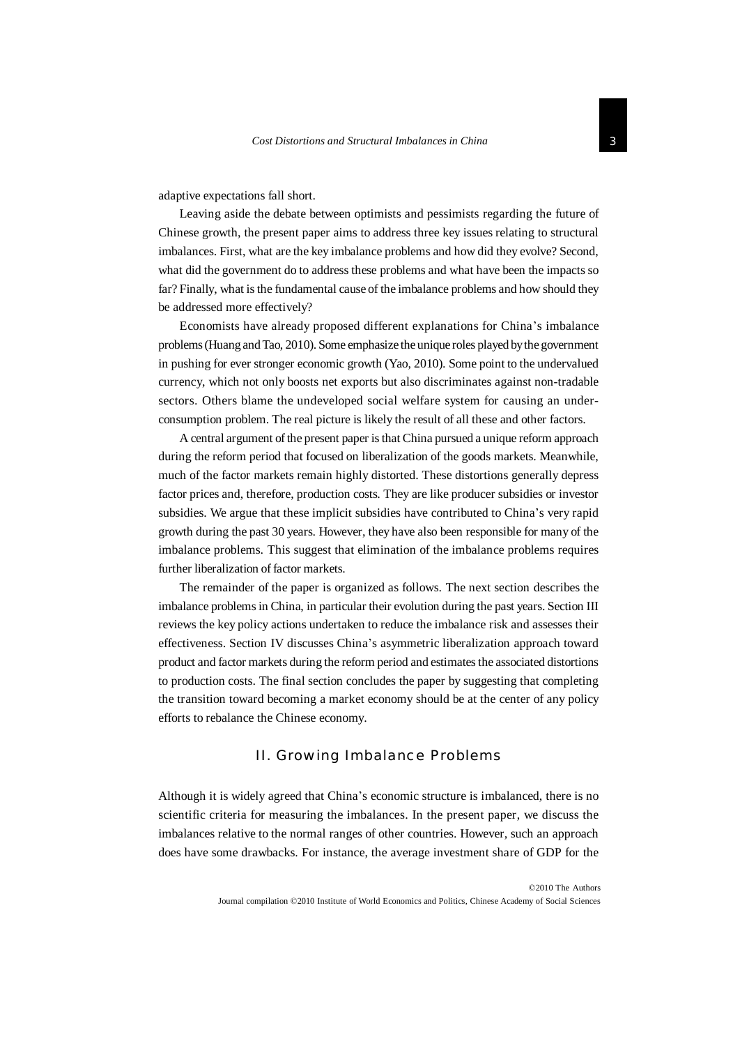adaptive expectations fall short.

Leaving aside the debate between optimists and pessimists regarding the future of Chinese growth, the present paper aims to address three key issues relating to structural imbalances. First, what are the key imbalance problems and how did they evolve? Second, what did the government do to address these problems and what have been the impacts so far? Finally, what is the fundamental cause of the imbalance problems and how should they be addressed more effectively?

Economists have already proposed different explanations for China's imbalance problems(Huang andTao, 2010). Some emphasize the unique roles played bythe government in pushing for ever stronger economic growth (Yao, 2010). Some point to the undervalued currency, which not only boosts net exports but also discriminates against non-tradable sectors. Others blame the undeveloped social welfare system for causing an underconsumption problem. The real picture is likely the result of all these and other factors.

A central argument of the present paper is that China pursued a unique reform approach during the reform period that focused on liberalization of the goods markets. Meanwhile, much of the factor markets remain highly distorted. These distortions generally depress factor prices and, therefore, production costs. They are like producer subsidies or investor subsidies. We argue that these implicit subsidies have contributed to China's very rapid growth during the past 30 years. However, they have also been responsible for many of the imbalance problems. This suggest that elimination of the imbalance problems requires further liberalization of factor markets.

The remainder of the paper is organized as follows. The next section describes the imbalance problemsin China, in particular their evolution during the past years. Section III reviews the key policy actions undertaken to reduce the imbalance risk and assesses their effectiveness. Section IV discusses China's asymmetric liberalization approach toward product and factor markets during the reform period and estimates the associated distortions to production costs. The final section concludes the paper by suggesting that completing the transition toward becoming a market economy should be at the center of any policy efforts to rebalance the Chinese economy.

#### II. Growing Imbalance Problems

Although it is widely agreed that China's economic structure is imbalanced, there is no scientific criteria for measuring the imbalances. In the present paper, we discuss the imbalances relative to the normal ranges of other countries. However, such an approach does have some drawbacks. For instance, the average investment share of GDP for the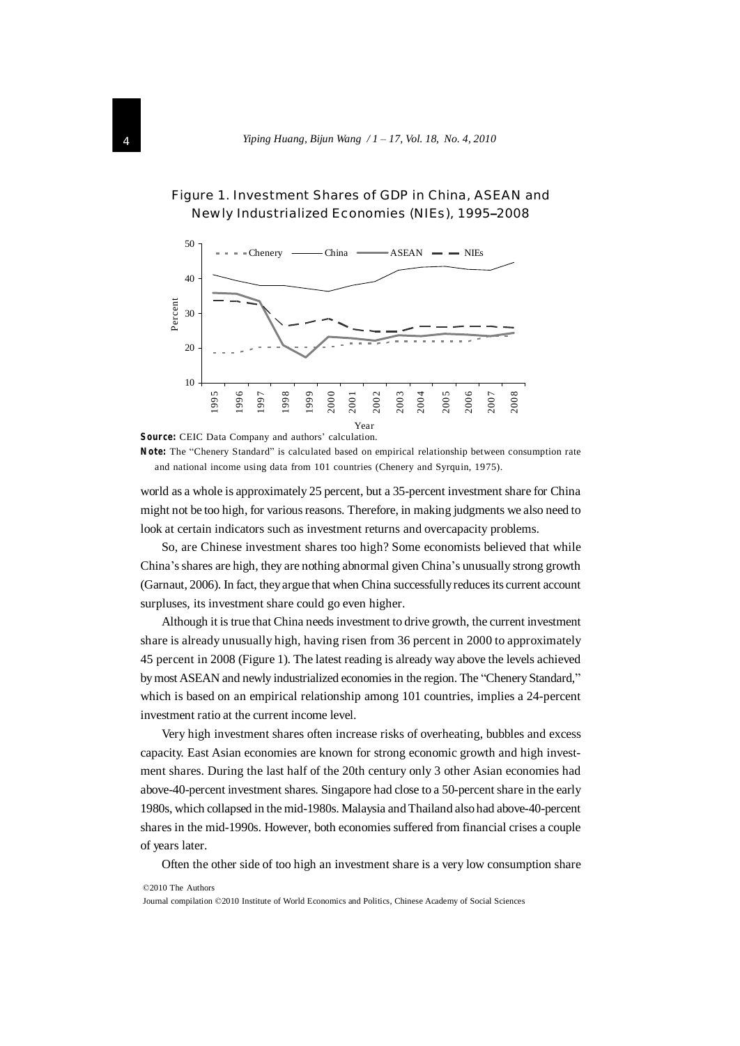



**Source:** CEIC Data Company and authors' calculation.

**Note:** The "Chenery Standard" is calculated based on empirical relationship between consumption rate and national income using data from 101 countries (Chenery and Syrquin, 1975).

world as a whole is approximately 25 percent, but a 35-percent investment share for China might not be too high, for various reasons. Therefore, in making judgments we also need to look at certain indicators such as investment returns and overcapacity problems.

So, are Chinese investment shares too high? Some economists believed that while China's shares are high, they are nothing abnormal given China's unusually strong growth (Garnaut, 2006). In fact, they argue that when China successfully reduces its current account surpluses, its investment share could go even higher.

Although it is true that China needs investment to drive growth, the current investment share is already unusually high, having risen from 36 percent in 2000 to approximately 45 percent in 2008 (Figure 1). The latest reading is already way above the levels achieved by most ASEAN and newly industrialized economies in the region. The "Chenery Standard," which is based on an empirical relationship among 101 countries, implies a 24-percent investment ratio at the current income level.

Very high investment shares often increase risks of overheating, bubbles and excess capacity. East Asian economies are known for strong economic growth and high investment shares. During the last half of the 20th century only 3 other Asian economies had above-40-percent investment shares. Singapore had close to a 50-percent share in the early 1980s, which collapsed in the mid-1980s. Malaysia and Thailand alsohad above-40-percent shares in the mid-1990s. However, both economies suffered from financial crises a couple of years later.

Often the other side of too high an investment share is a very low consumption share

©2010 The Authors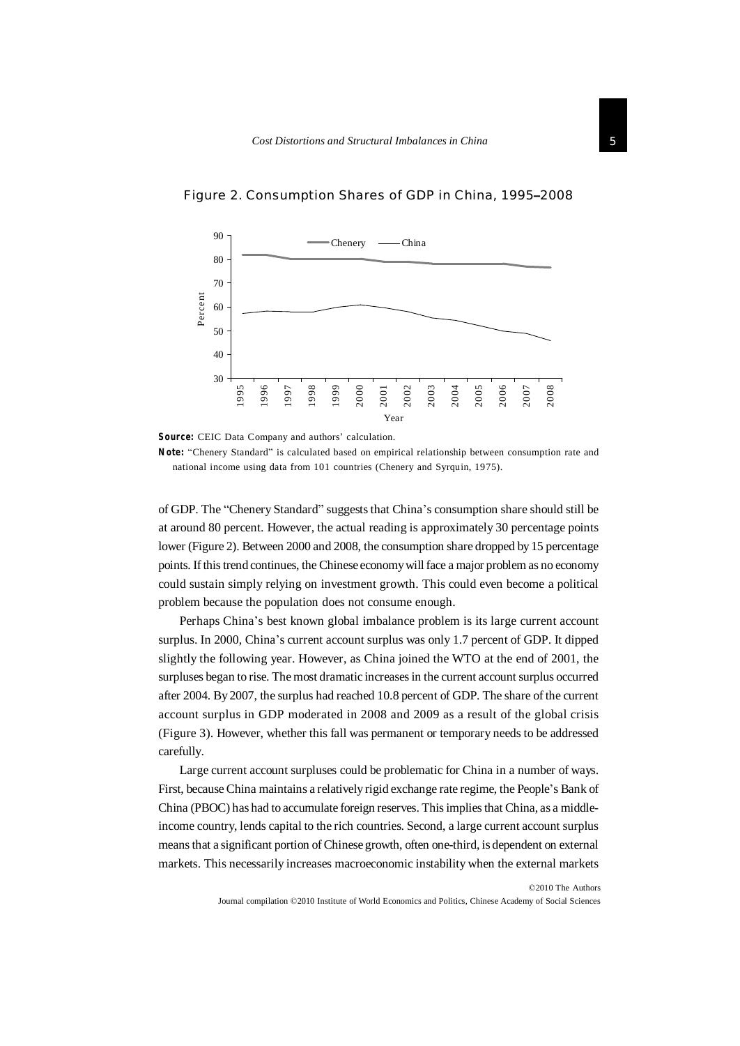

Figure 2. Consumption Shares of GDP in China, 1995–2008

**Source:** CEIC Data Company and authors' calculation.

**Note:** "Chenery Standard" is calculated based on empirical relationship between consumption rate and national income using data from 101 countries (Chenery and Syrquin, 1975).

of GDP. The "Chenery Standard" suggeststhat China's consumption share should still be at around 80 percent. However, the actual reading is approximately 30 percentage points lower (Figure 2). Between 2000 and 2008, the consumption share dropped by 15 percentage points. Ifthistrend continues, the Chinese economywillface a major problem as no economy could sustain simply relying on investment growth. This could even become a political problem because the population does not consume enough.

Perhaps China's best known global imbalance problem is its large current account surplus. In 2000, China's current account surplus was only 1.7 percent of GDP. It dipped slightly the following year. However, as China joined the WTO at the end of 2001, the surpluses began to rise. The most dramatic increases in the current account surplus occurred after 2004. By 2007, the surplus had reached 10.8 percent of GDP. The share of the current account surplus in GDP moderated in 2008 and 2009 as a result of the global crisis (Figure 3). However, whether this fall was permanent or temporary needs to be addressed carefully.

Large current account surpluses could be problematic for China in a number of ways. First, because China maintains a relatively rigid exchange rate regime, the People's Bank of China (PBOC) has had to accumulate foreign reserves. Thisimpliesthat China, as a middleincome country, lends capital to the rich countries. Second, a large current account surplus meansthat a significant portion ofChinese growth, often one-third, is dependent on external markets. This necessarily increases macroeconomic instability when the external markets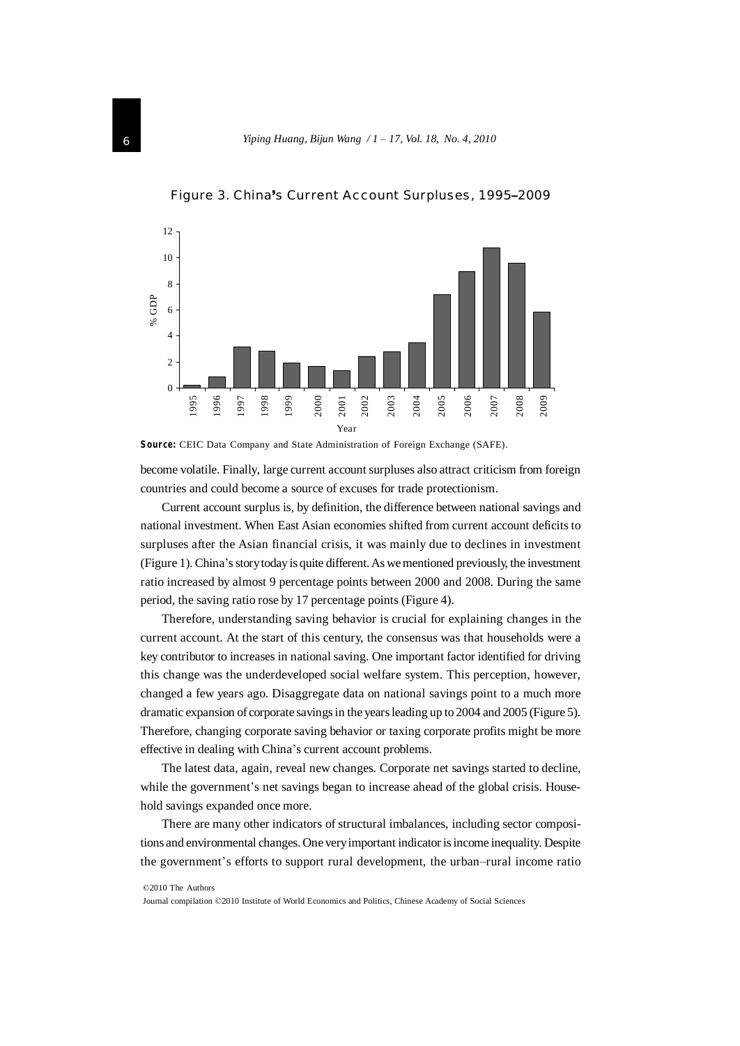

Figure 3. China's Current Account Surpluses, 1995–2009

**Source:** CEIC Data Company and State Administration of Foreign Exchange (SAFE).

become volatile. Finally, large current account surpluses also attract criticism from foreign countries and could become a source of excuses for trade protectionism.

Current account surplus is, by definition, the difference between national savings and national investment. When East Asian economies shifted from current account deficits to surpluses after the Asian financial crisis, it was mainly due to declines in investment (Figure 1). China's story today is quite different. As we mentioned previously, the investment ratio increased by almost 9 percentage points between 2000 and 2008. During the same period, the saving ratio rose by 17 percentage points (Figure 4).

Therefore, understanding saving behavior is crucial for explaining changes in the current account. At the start of this century, the consensus was that households were a key contributor to increases in national saving. One important factor identified for driving this change was the underdeveloped social welfare system. This perception, however, changed a few years ago. Disaggregate data on national savings point to a much more dramatic expansion of corporate savings in the years leading up to 2004 and 2005 (Figure 5). Therefore, changing corporate saving behavior or taxing corporate profits might be more effective in dealing with China's current account problems.

The latest data, again, reveal new changes. Corporate net savings started to decline, while the government's net savings began to increase ahead of the global crisis. Household savings expanded once more.

There are many other indicators of structural imbalances, including sector compositions and environmental changes. One veryimportant indicator isincome inequality. Despite the government's efforts to support rural development, the urban–rural income ratio

©2010 The Authors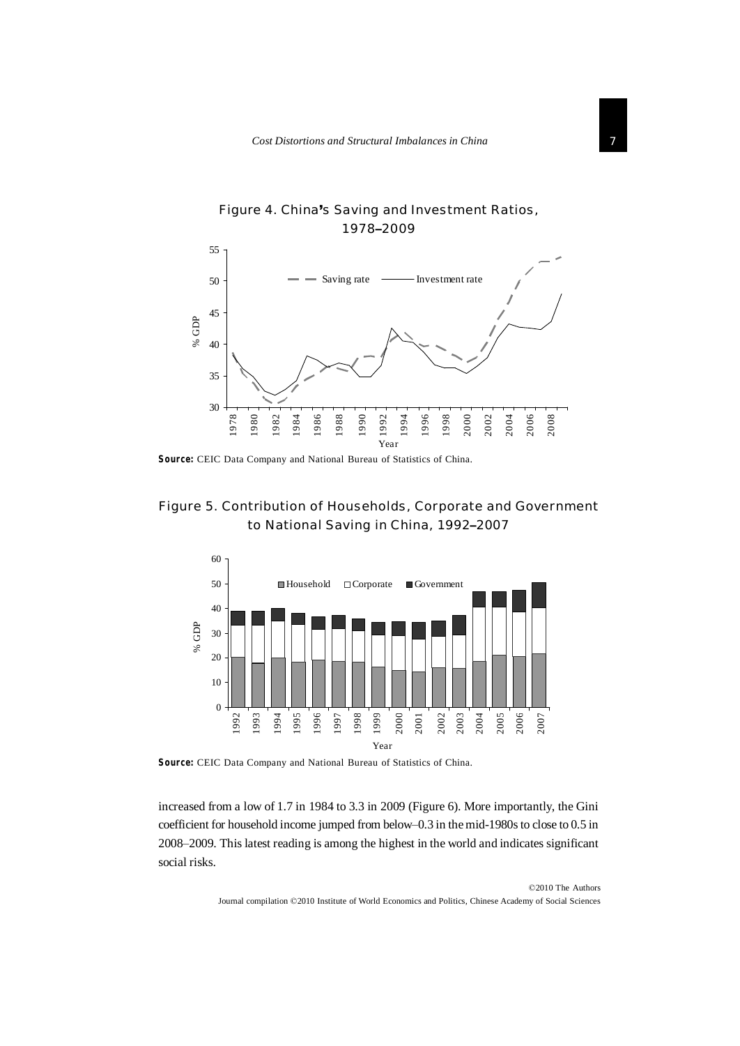

Figure 4. China's Saving and Investment Ratios, –2009

**Source:** CEIC Data Company and National Bureau of Statistics of China.

# Figure 5. Contribution of Households, Corporate and Government to National Saving in China, 1992–2007



**Source:** CEIC Data Company and National Bureau of Statistics of China.

increased from a low of 1.7 in 1984 to 3.3 in 2009 (Figure 6). More importantly, the Gini coefficient for household income jumped from below–0.3 in the mid-1980s to close to 0.5 in –2009. This latest reading is among the highest in the world and indicates significant social risks.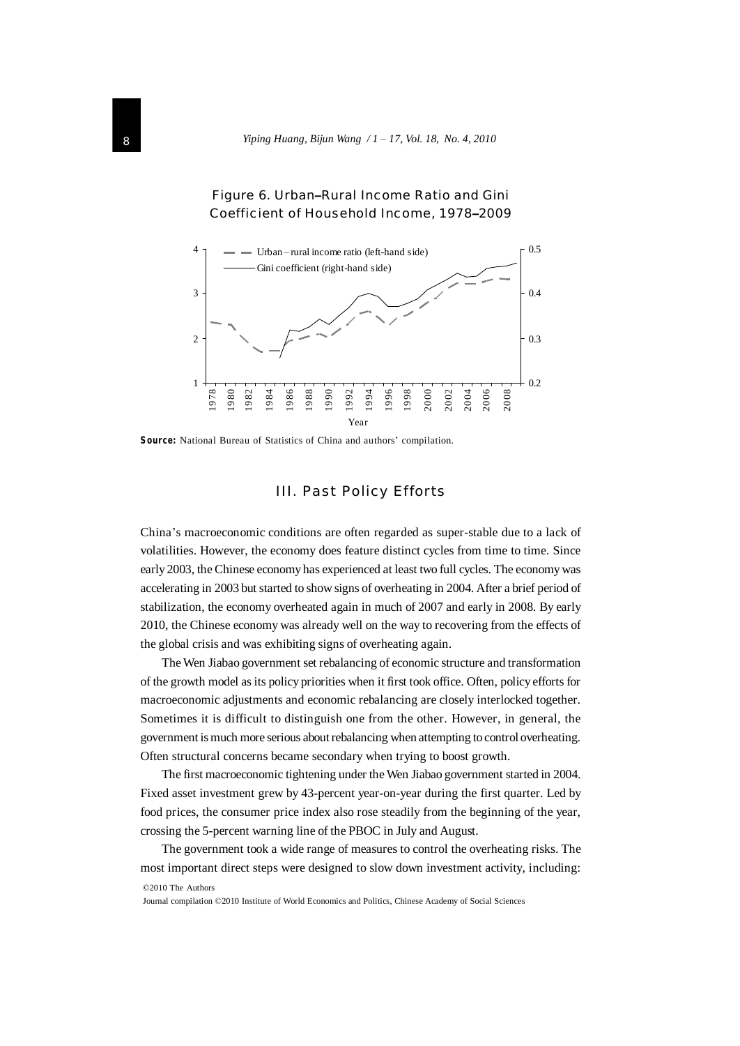

#### Figure 6. Urban–Rural Income Ratio and Gini Coefficient of Household Income, 1978–2009

**Source:** National Bureau of Statistics of China and authors' compilation.

#### III. Past Policy Efforts

China's macroeconomic conditions are often regarded as super-stable due to a lack of volatilities. However, the economy does feature distinct cycles from time to time. Since early 2003, the Chinese economy has experienced at least two full cycles. The economywas accelerating in 2003 but started to show signs of overheating in 2004. After a brief period of stabilization, the economy overheated again in much of 2007 and early in 2008. By early 2010, the Chinese economy was already well on the way to recovering from the effects of the global crisis and was exhibiting signs of overheating again.

TheWen Jiabao government set rebalancing of economic structure and transformation of the growth model as its policy priorities when it first took office. Often, policy efforts for macroeconomic adjustments and economic rebalancing are closely interlocked together. Sometimes it is difficult to distinguish one from the other. However, in general, the government is much more serious aboutrebalancing when attempting to control overheating. Often structural concerns became secondary when trying to boost growth.

The first macroeconomic tightening under theWen Jiabao government started in 2004. Fixed asset investment grew by 43-percent year-on-year during the first quarter. Led by food prices, the consumer price index also rose steadily from the beginning of the year, crossing the 5-percent warning line of the PBOC in July and August.

©2010 The Authors The government took a wide range of measures to control the overheating risks. The most important direct steps were designed to slow down investment activity, including: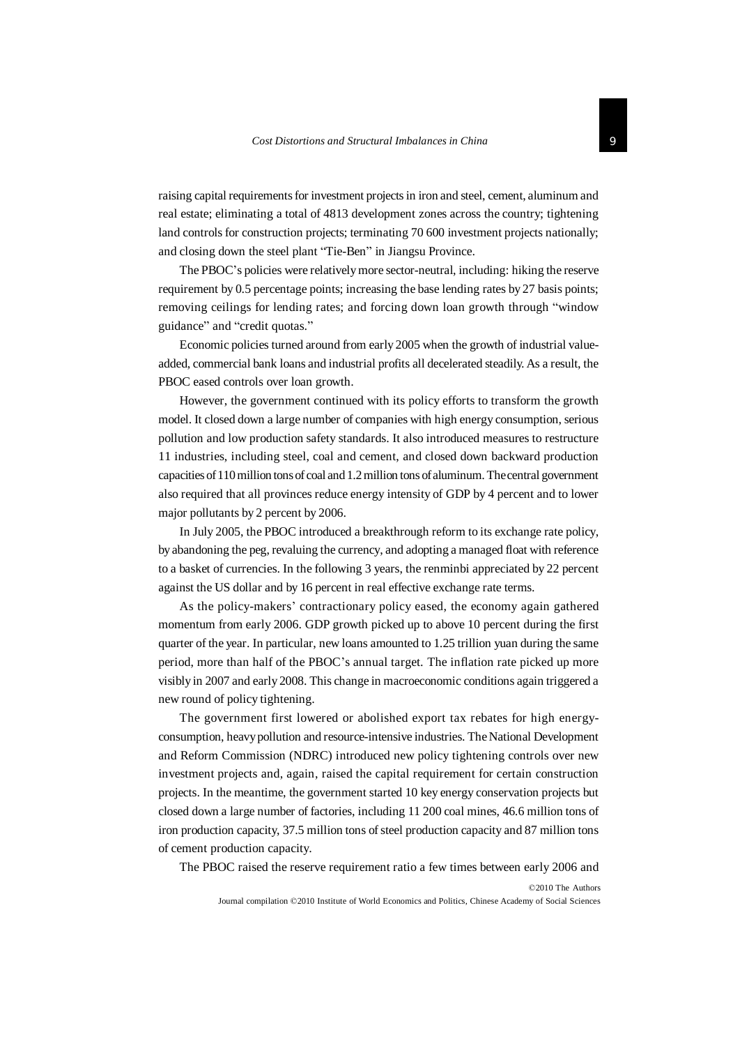raising capital requirementsfor investment projectsin iron and steel, cement, aluminum and real estate; eliminating a total of 4813 development zones across the country; tightening land controls for construction projects; terminating 70 600 investment projects nationally; and closing down the steel plant "Tie-Ben" in Jiangsu Province.

The PBOC's policies were relativelymore sector-neutral, including: hiking the reserve requirement by 0.5 percentage points; increasing the base lending rates by 27 basis points; removing ceilings for lending rates; and forcing down loan growth through "window guidance" and "credit quotas."

Economic policies turned around from early 2005 when the growth of industrial valueadded, commercial bank loans and industrial profits all decelerated steadily. As a result, the PBOC eased controls over loan growth.

However, the government continued with its policy efforts to transform the growth model. It closed down a large number of companies with high energy consumption, serious pollution and low production safety standards. It also introduced measures to restructure 11 industries, including steel, coal and cement, and closed down backward production capacities of 110 million tons of coal and 1.2 million tons of aluminum. The central government also required that all provinces reduce energy intensity of GDP by 4 percent and to lower major pollutants by 2 percent by 2006.

In July 2005, the PBOC introduced a breakthrough reform to its exchange rate policy, by abandoning the peg, revaluing the currency, and adopting a managed float with reference to a basket of currencies. In the following 3 years, the renminbi appreciated by 22 percent against the US dollar and by 16 percent in real effective exchange rate terms.

As the policy-makers' contractionary policy eased, the economy again gathered momentum from early 2006. GDP growth picked up to above 10 percent during the first quarter of the year. In particular, new loans amounted to 1.25 trillion yuan during the same period, more than half of the PBOC's annual target. The inflation rate picked up more visibly in 2007 and early 2008. This change in macroeconomic conditions again triggered a new round of policy tightening.

The government first lowered or abolished export tax rebates for high energyconsumption, heavypollution and resource-intensive industries. TheNational Development and Reform Commission (NDRC) introduced new policy tightening controls over new investment projects and, again, raised the capital requirement for certain construction projects. In the meantime, the government started 10 key energy conservation projects but closed down a large number of factories, including 11 200 coal mines, 46.6 million tons of iron production capacity, 37.5 million tons ofsteel production capacity and 87 million tons of cement production capacity.

The PBOC raised the reserve requirement ratio a few times between early 2006 and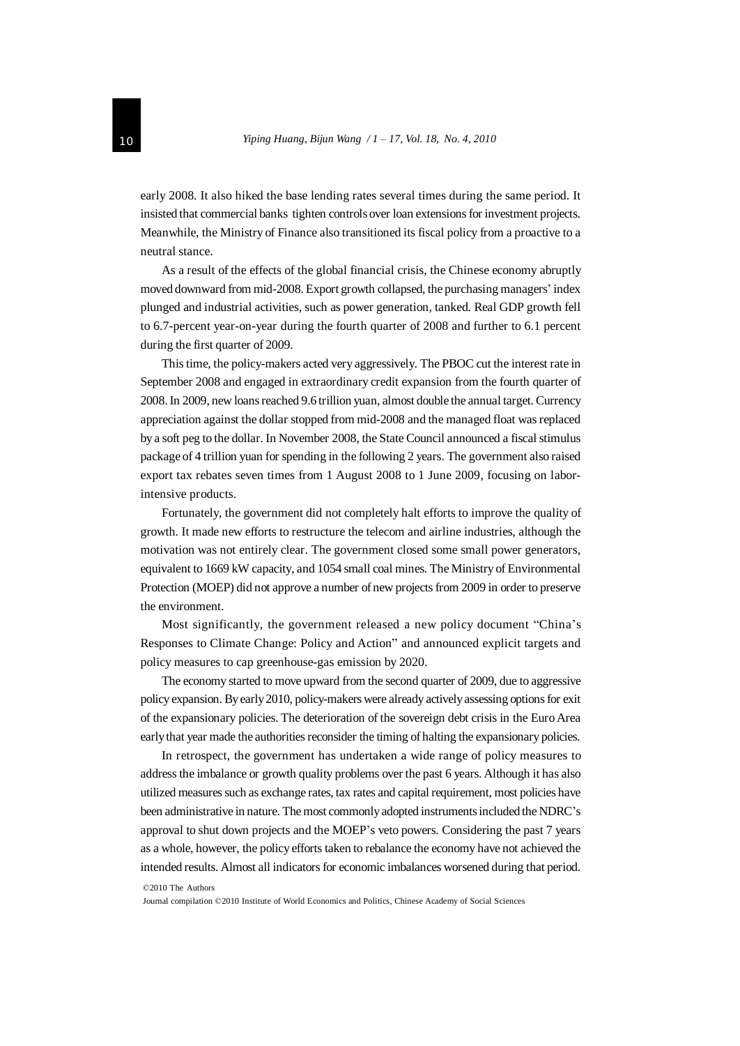early 2008. It also hiked the base lending rates several times during the same period. It insisted that commercial banks tighten controls over loan extensionsfor investment projects. Meanwhile, the Ministry of Finance also transitioned its fiscal policy from a proactive to a neutral stance.

As a result of the effects of the global financial crisis, the Chinese economy abruptly moved downward from mid-2008. Export growth collapsed, the purchasing managers' index plunged and industrial activities, such as power generation, tanked. Real GDP growth fell to 6.7-percent year-on-year during the fourth quarter of 2008 and further to 6.1 percent during the first quarter of 2009.

Thistime, the policy-makers acted very aggressively. The PBOC cut the interest rate in September 2008 and engaged in extraordinary credit expansion from the fourth quarter of 2008.In 2009, new loansreached 9.6 trillion yuan, almost double the annual target. Currency appreciation against the dollar stopped from mid-2008 and the managed float wasreplaced by a soft peg to the dollar. In November 2008, the State Council announced a fiscal stimulus package of 4 trillion yuan for spending in the following 2 years. The government also raised export tax rebates seven times from 1 August 2008 to 1 June 2009, focusing on laborintensive products.

Fortunately, the government did not completely halt efforts to improve the quality of growth. It made new efforts to restructure the telecom and airline industries, although the motivation was not entirely clear. The government closed some small power generators, equivalent to 1669 kW capacity, and 1054 small coal mines. The Ministry of Environmental Protection (MOEP) did not approve a number of new projects from 2009 in order to preserve the environment.

Most significantly, the government released a new policy document "China's Responses to Climate Change: Policy and Action" and announced explicit targets and policy measures to cap greenhouse-gas emission by 2020.

The economy started to move upward from the second quarter of 2009, due to aggressive policy expansion. By early 2010, policy-makers were already actively assessing options for exit of the expansionary policies. The deterioration of the sovereign debt crisis in the Euro Area early that year made the authorities reconsider the timing of halting the expansionary policies.

In retrospect, the government has undertaken a wide range of policy measures to addressthe imbalance or growth quality problems over the past 6 years. Although it has also utilized measures such as exchange rates, tax rates and capital requirement, most policies have been administrative in nature. The most commonly adopted instruments included the NDRC's approval to shut down projects and the MOEP's veto powers. Considering the past 7 years as a whole, however, the policy efforts taken to rebalance the economy have not achieved the intended results. Almost all indicators for economic imbalances worsened during that period.

©2010 The Authors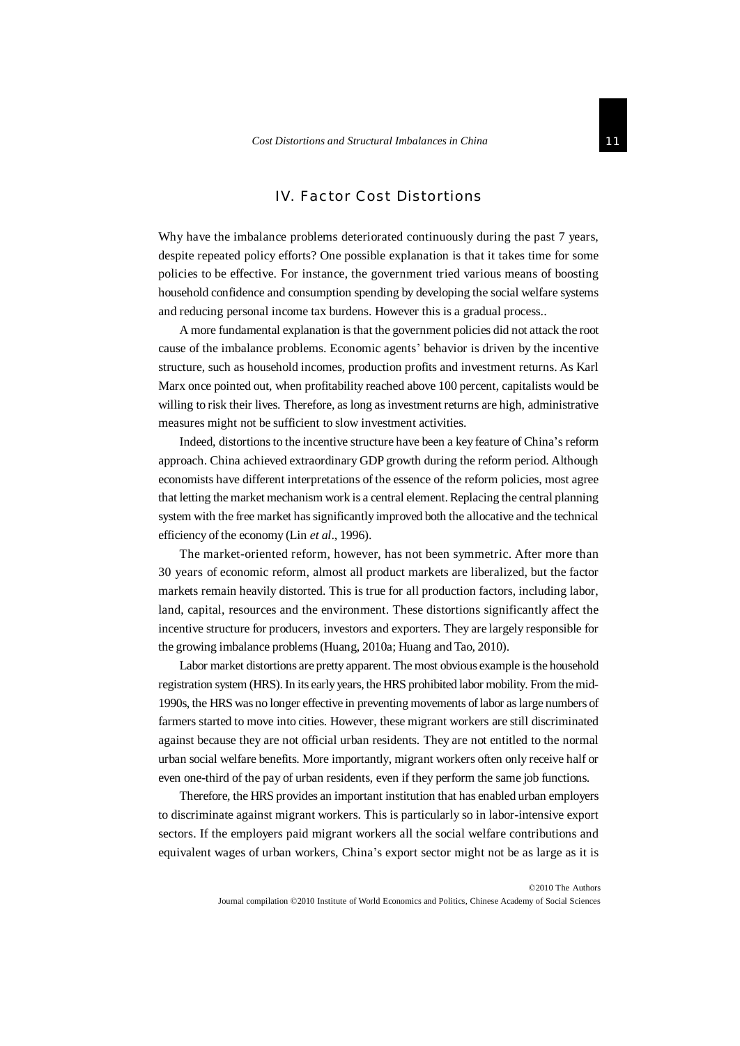## IV. Factor Cost Distortions

Why have the imbalance problems deteriorated continuously during the past 7 years, despite repeated policy efforts? One possible explanation is that it takes time for some policies to be effective. For instance, the government tried various means of boosting household confidence and consumption spending by developing the social welfare systems and reducing personal income tax burdens. However this is a gradual process..

A more fundamental explanation is that the government policies did not attack the root cause of the imbalance problems. Economic agents' behavior is driven by the incentive structure, such as household incomes, production profits and investment returns. As Karl Marx once pointed out, when profitability reached above 100 percent, capitalists would be willing to risk their lives. Therefore, as long as investment returns are high, administrative measures might not be sufficient to slow investment activities.

Indeed, distortionsto the incentive structure have been a key feature of China's reform approach. China achieved extraordinary GDP growth during the reform period. Although economists have different interpretations of the essence of the reform policies, most agree that letting the market mechanism work is a central element.Replacing the central planning system with the free market has significantly improved both the allocative and the technical efficiency of the economy (Lin *et al*., 1996).

The market-oriented reform, however, has not been symmetric. After more than 30 years of economic reform, almost all product markets are liberalized, but the factor markets remain heavily distorted. This is true for all production factors, including labor, land, capital, resources and the environment. These distortions significantly affect the incentive structure for producers, investors and exporters. They are largely responsible for the growing imbalance problems(Huang, 2010a; Huang and Tao, 2010).

Labor market distortions are pretty apparent. The most obvious example is the household registration system (HRS). In its earlyyears, the HRS prohibited labor mobility. From themid-1990s, the HRS was no longer effective in preventing movements of labor as large numbers of farmers started to move into cities. However, these migrant workers are still discriminated against because they are not official urban residents. They are not entitled to the normal urban social welfare benefits. More importantly, migrant workers often only receive half or even one-third of the pay of urban residents, even if they perform the same job functions.

Therefore, the HRS provides an important institution that has enabled urban employers to discriminate against migrant workers. This is particularly so in labor-intensive export sectors. If the employers paid migrant workers all the social welfare contributions and equivalent wages of urban workers, China's export sector might not be as large as it is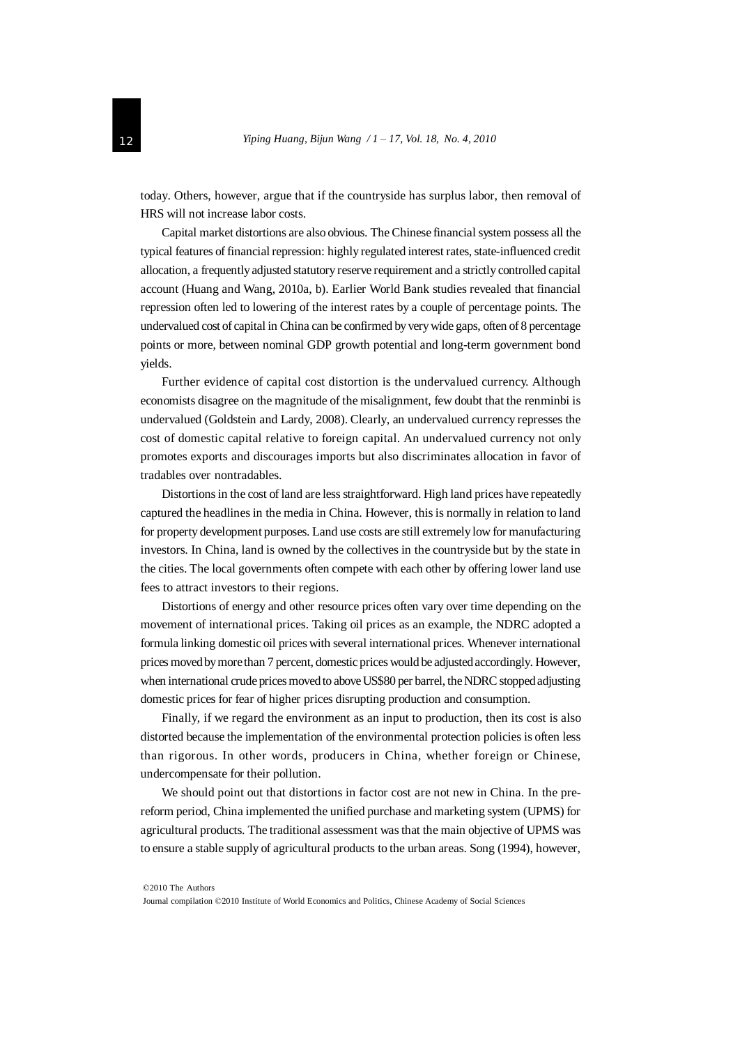today. Others, however, argue that if the countryside has surplus labor, then removal of HRS will not increase labor costs.

Capital market distortions are also obvious. The Chinese financial system possess all the typical features of financial repression: highly regulated interest rates, state-influenced credit allocation, a frequentlyadjusted statutory reserve requirement and a strictly controlled capital account (Huang and Wang, 2010a, b). Earlier World Bank studies revealed that financial repression often led to lowering of the interest rates by a couple of percentage points. The undervalued cost of capital in China can be confirmed by very wide gaps, often of 8 percentage points or more, between nominal GDP growth potential and long-term government bond yields.

Further evidence of capital cost distortion is the undervalued currency. Although economists disagree on the magnitude of the misalignment, few doubt that the renminbi is undervalued (Goldstein and Lardy, 2008). Clearly, an undervalued currency represses the cost of domestic capital relative to foreign capital. An undervalued currency not only promotes exports and discourages imports but also discriminates allocation in favor of tradables over nontradables.

Distortions in the cost of land are less straightforward. High land prices have repeatedly captured the headlines in the media in China. However, thisis normally in relation to land for property development purposes. Land use costs are still extremelylow for manufacturing investors. In China, land is owned by the collectives in the countryside but by the state in the cities. The local governments often compete with each other by offering lower land use fees to attract investors to their regions.

Distortions of energy and other resource prices often vary over time depending on the movement of international prices. Taking oil prices as an example, the NDRC adopted a formula linking domestic oil prices with several international prices. Whenever international prices movedbymorethan 7 percent, domestic prices would be adjustedaccordingly. However, when international crude prices moved to above US\$80 per barrel, the NDRC stopped adjusting domestic prices for fear of higher prices disrupting production and consumption.

Finally, if we regard the environment as an input to production, then its cost is also distorted because the implementation of the environmental protection policies is often less than rigorous. In other words, producers in China, whether foreign or Chinese, undercompensate for their pollution.

We should point out that distortions in factor cost are not new in China. In the prereform period, China implemented the unified purchase and marketing system (UPMS) for agricultural products. The traditional assessment wasthat the main objective of UPMS was to ensure a stable supply of agricultural products to the urban areas. Song (1994), however,

<sup>©</sup>2010 The Authors

Journal compilation ©2010 Institute of World Economics and Politics, Chinese Academy of Social Sciences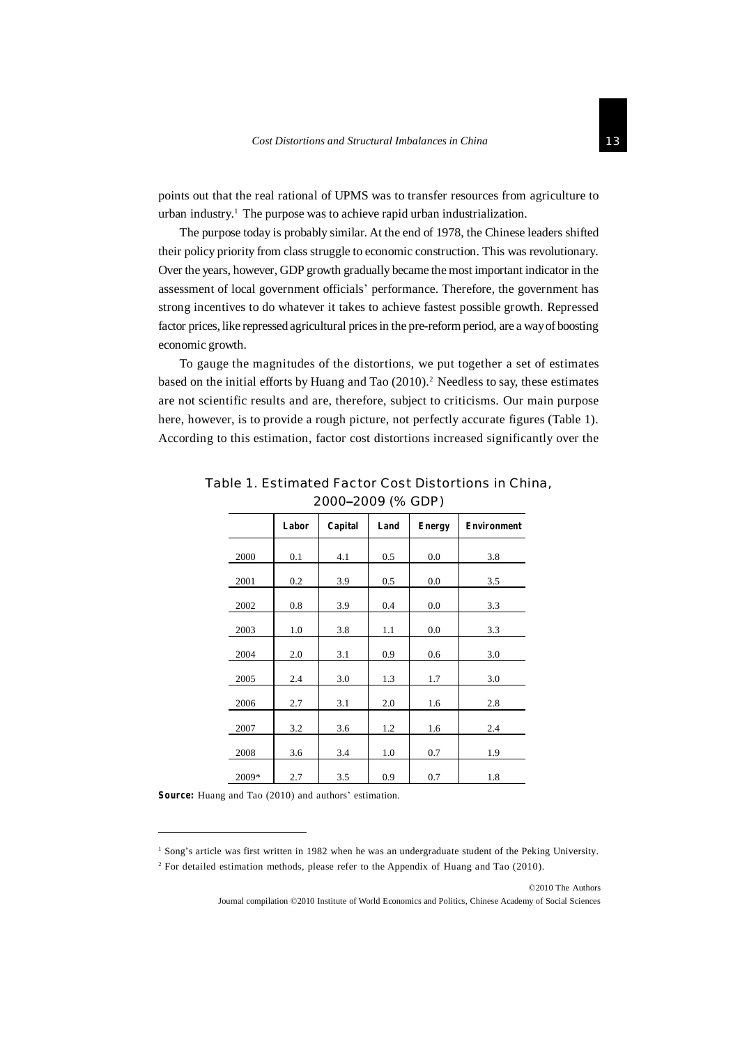points out that the real rational of UPMS was to transfer resources from agriculture to urban industry.<sup>1</sup> The purpose was to achieve rapid urban industrialization.

The purpose today is probably similar. At the end of 1978, the Chinese leaders shifted their policy priority from class struggle to economic construction. This was revolutionary. Over the years, however, GDP growth gradually became the most important indicator in the assessment of local government officials' performance. Therefore, the government has strong incentives to do whatever it takes to achieve fastest possible growth. Repressed factor prices, like repressed agricultural prices in the pre-reform period, are a way of boosting economic growth.

To gauge the magnitudes of the distortions, we put together a set of estimates based on the initial efforts by Huang and Tao  $(2010)$ .<sup>2</sup> Needless to say, these estimates are not scientific results and are, therefore, subject to criticisms. Our main purpose here, however, is to provide a rough picture, not perfectly accurate figures (Table 1). According to this estimation, factor cost distortions increased significantly over the

|       | Labor | Capital | Land | <b>Energy</b> | <b>Environment</b> |
|-------|-------|---------|------|---------------|--------------------|
| 2000  | 0.1   | 4.1     | 0.5  | 0.0           | 3.8                |
| 2001  | 0.2   | 3.9     | 0.5  | 0.0           | 3.5                |
| 2002  | 0.8   | 3.9     | 0.4  | 0.0           | 3.3                |
| 2003  | 1.0   | 3.8     | 1.1  | 0.0           | 3.3                |
| 2004  | 2.0   | 3.1     | 0.9  | 0.6           | 3.0                |
| 2005  | 2.4   | 3.0     | 1.3  | 1.7           | 3.0                |
| 2006  | 2.7   | 3.1     | 2.0  | 1.6           | 2.8                |
| 2007  | 3.2   | 3.6     | 1.2  | 1.6           | 2.4                |
| 2008  | 3.6   | 3.4     | 1.0  | 0.7           | 1.9                |
| 2009* | 2.7   | 3.5     | 0.9  | 0.7           | 1.8                |

Table 1. Estimated Factor Cost Distortions in China, 2000–2009 (% GDP)

**Source:** Huang and Tao (2010) and authors' estimation.

©2010 The Authors

<sup>1</sup> Song's article was first written in 1982 when he was an undergraduate student of the Peking University.

<sup>&</sup>lt;sup>2</sup> For detailed estimation methods, please refer to the Appendix of Huang and Tao (2010).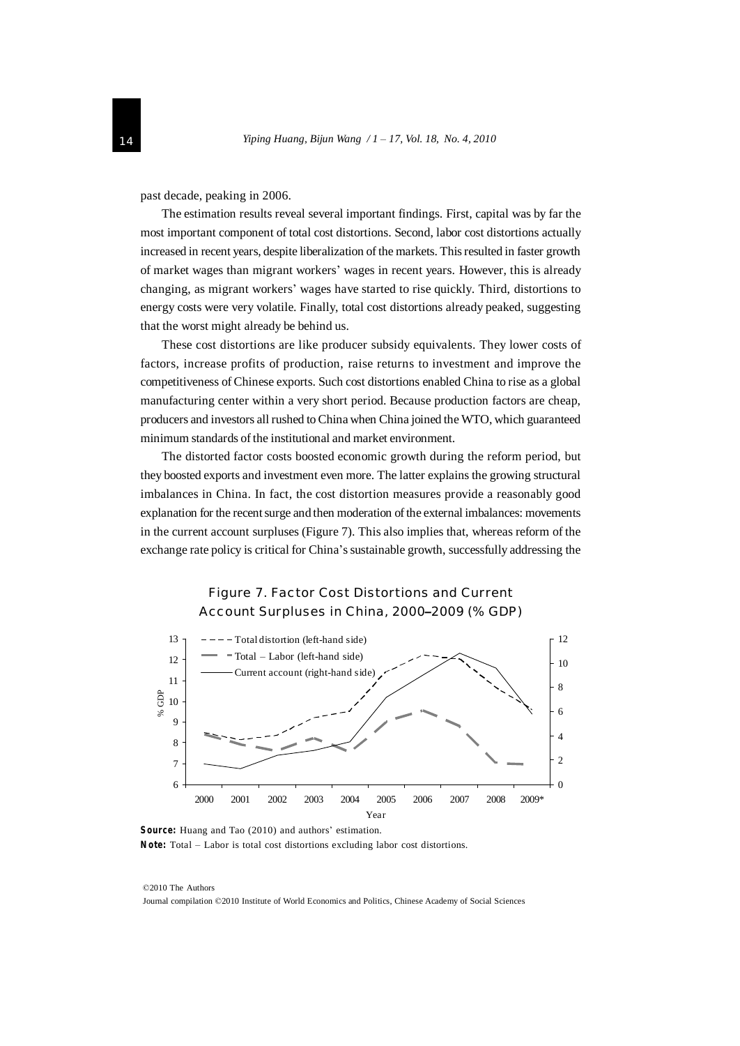past decade, peaking in 2006.

The estimation results reveal several important findings. First, capital was by far the most important component of total cost distortions. Second, labor cost distortions actually increased in recent years, despite liberalization of the markets. Thisresulted in faster growth of market wages than migrant workers' wages in recent years. However, this is already changing, as migrant workers' wages have started to rise quickly. Third, distortions to energy costs were very volatile. Finally, total cost distortions already peaked, suggesting that the worst might already be behind us.

These cost distortions are like producer subsidy equivalents. They lower costs of factors, increase profits of production, raise returns to investment and improve the competitiveness of Chinese exports. Such cost distortions enabled China to rise as a global manufacturing center within a very short period. Because production factors are cheap, producers and investors all rushed toChina when China joined the WTO, which guaranteed minimum standards of the institutional and market environment.

The distorted factor costs boosted economic growth during the reform period, but they boosted exports and investment even more. The latter explains the growing structural imbalances in China. In fact, the cost distortion measures provide a reasonably good explanation for the recent surge and then moderation of the external imbalances: movements in the current account surpluses (Figure 7). This also implies that, whereas reform of the exchange rate policy is critical for China's sustainable growth, successfully addressing the



**Source:** Huang and Tao (2010) and authors' estimation. **Note:** Total *–* Labor is total cost distortions excluding labor cost distortions.

©2010 The Authors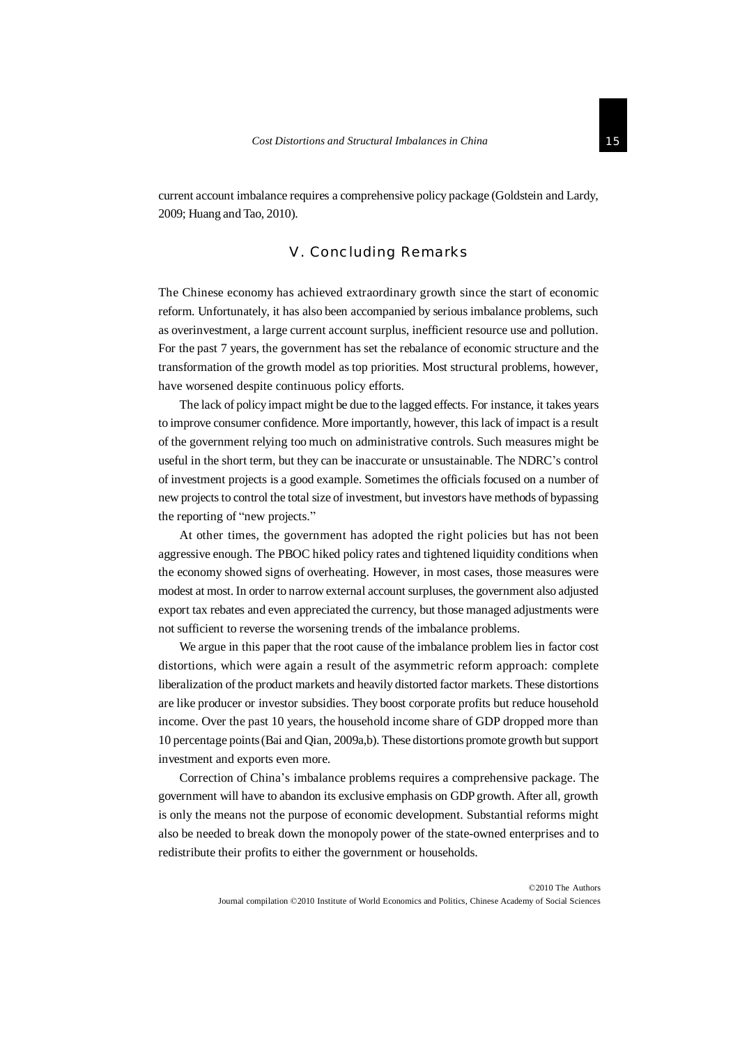current account imbalance requires a comprehensive policy package (Goldstein and Lardy, 2009; Huang and Tao, 2010).

#### V. Concluding Remarks

The Chinese economy has achieved extraordinary growth since the start of economic reform. Unfortunately, it has also been accompanied by serious imbalance problems, such as overinvestment, a large current account surplus, inefficient resource use and pollution. For the past 7 years, the government has set the rebalance of economic structure and the transformation of the growth model as top priorities. Most structural problems, however, have worsened despite continuous policy efforts.

The lack of policy impact might be due to the lagged effects. For instance, it takes years to improve consumer confidence. More importantly, however, thislack of impact is a result of the government relying too much on administrative controls. Such measures might be useful in the short term, but they can be inaccurate or unsustainable. The NDRC's control of investment projects is a good example. Sometimes the officials focused on a number of new projects to control the total size of investment, but investors have methods of bypassing the reporting of "new projects."

At other times, the government has adopted the right policies but has not been aggressive enough. The PBOC hiked policy rates and tightened liquidity conditions when the economy showed signs of overheating. However, in most cases, those measures were modest at most. In order to narrow external account surpluses, the government also adjusted export tax rebates and even appreciated the currency, but those managed adjustments were not sufficient to reverse the worsening trends of the imbalance problems.

We argue in this paper that the root cause of the imbalance problem lies in factor cost distortions, which were again a result of the asymmetric reform approach: complete liberalization of the product markets and heavily distorted factor markets. These distortions are like producer or investor subsidies. They boost corporate profits but reduce household income. Over the past 10 years, the household income share of GDP dropped more than 10 percentage points(Bai and Qian, 2009a,b). These distortions promote growth butsupport investment and exports even more.

Correction of China's imbalance problems requires a comprehensive package. The government will have to abandon its exclusive emphasis on GDPgrowth. After all, growth is only the means not the purpose of economic development. Substantial reforms might also be needed to break down the monopoly power of the state-owned enterprises and to redistribute their profits to either the government or households.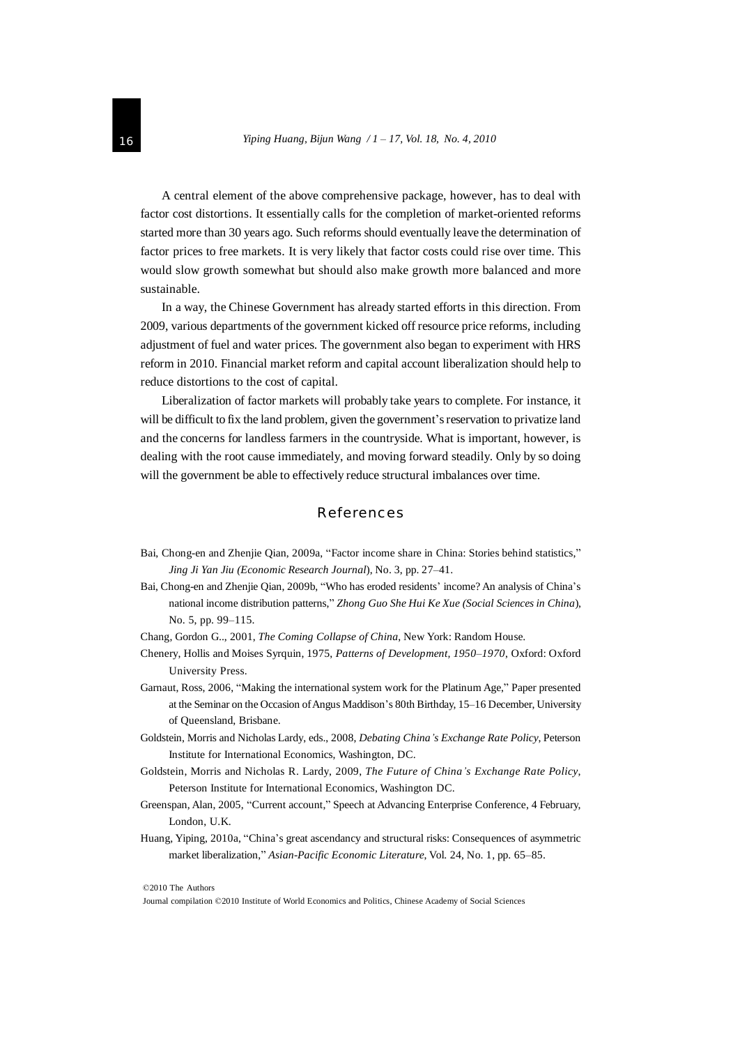A central element of the above comprehensive package, however, has to deal with factor cost distortions. It essentially calls for the completion of market-oriented reforms started more than 30 years ago. Such reforms should eventually leave the determination of factor prices to free markets. It is very likely that factor costs could rise over time. This would slow growth somewhat but should also make growth more balanced and more sustainable.

In a way, the Chinese Government has already started efforts in this direction. From 2009, various departments of the government kicked off resource price reforms, including adjustment of fuel and water prices. The government also began to experiment with HRS reform in 2010. Financial market reform and capital account liberalization should help to reduce distortions to the cost of capital.

Liberalization of factor markets will probably take years to complete. For instance, it will be difficult to fix the land problem, given the government's reservation to privatize land and the concerns for landless farmers in the countryside. What is important, however, is dealing with the root cause immediately, and moving forward steadily. Only by so doing will the government be able to effectively reduce structural imbalances over time.

#### References

- Bai, Chong-en and Zhenjie Qian, 2009a, "Factor income share in China: Stories behind statistics," *Jing Ji Yan Jiu (Economic Research Journal*), No. 3, pp. 27–41.
- Bai, Chong-en and Zhenjie Qian, 2009b, "Who has eroded residents' income? An analysis of China's national income distribution patterns," *Zhong Guo She Hui Ke Xue (Social Sciences in China*), No. 5, pp. 99–115.
- Chang, Gordon G.., 2001, *The Coming Collapse of China*, New York: Random House.
- Chenery, Hollis and Moises Syrquin, 1975, *Patterns of Development, 1950*–*1970*, Oxford: Oxford University Press.
- Garnaut, Ross, 2006, "Making the international system work for the Platinum Age," Paper presented at the Seminar on the Occasion of Angus Maddison's 80th Birthday, 15-16 December, University of Queensland, Brisbane.
- Goldstein, Morris and Nicholas Lardy, eds., 2008, *Debating China's Exchange Rate Policy*, Peterson Institute for International Economics, Washington, DC.
- Goldstein, Morris and Nicholas R. Lardy, 2009, *The Future of China's Exchange Rate Policy*, Peterson Institute for International Economics, Washington DC.
- Greenspan, Alan, 2005, "Current account," Speech at Advancing Enterprise Conference, 4 February, London, U.K.
- Huang, Yiping, 2010a, "China's great ascendancy and structural risks: Consequences of asymmetric market liberalization," *Asian-Pacific Economic Literature*, Vol. 24, No. 1, pp. 65–85.

©2010 The Authors